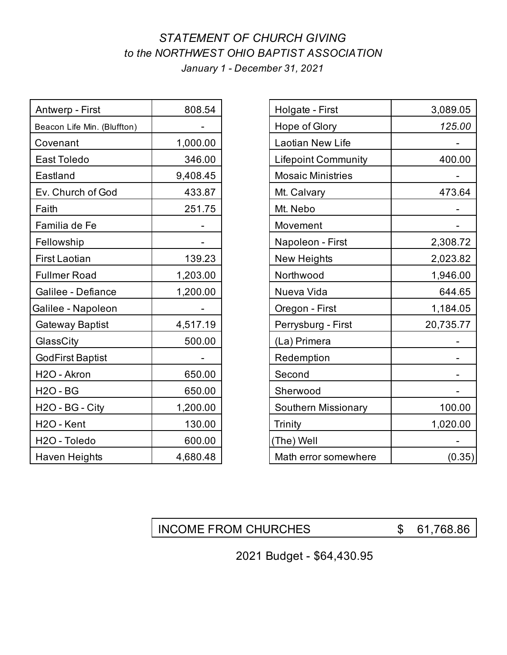#### *STATEMENT OF CHURCH GIVING to the NORTHWEST OHIO BAPTIST ASSOCIATION January 1 - December 31, 2021*

| Antwerp - First             | 808.54   | Holgate - First            | 3,089.  |
|-----------------------------|----------|----------------------------|---------|
| Beacon Life Min. (Bluffton) |          | Hope of Glory              | 125.    |
| Covenant                    | 1,000.00 | Laotian New Life           |         |
| East Toledo                 | 346.00   | <b>Lifepoint Community</b> | 400.    |
| Eastland                    | 9,408.45 | <b>Mosaic Ministries</b>   |         |
| Ev. Church of God           | 433.87   | Mt. Calvary                | 473.    |
| Faith                       | 251.75   | Mt. Nebo                   |         |
| Familia de Fe               |          | Movement                   |         |
| Fellowship                  |          | Napoleon - First           | 2,308.  |
| <b>First Laotian</b>        | 139.23   | <b>New Heights</b>         | 2,023.  |
| <b>Fullmer Road</b>         | 1,203.00 | Northwood                  | 1,946.  |
| Galilee - Defiance          | 1,200.00 | Nueva Vida                 | 644.    |
| Galilee - Napoleon          |          | Oregon - First             | 1,184.  |
| Gateway Baptist             | 4,517.19 | Perrysburg - First         | 20,735. |
| GlassCity                   | 500.00   | (La) Primera               |         |
| <b>GodFirst Baptist</b>     |          | Redemption                 |         |
| H <sub>2</sub> O - Akron    | 650.00   | Second                     |         |
| <b>H2O - BG</b>             | 650.00   | Sherwood                   |         |
| H2O - BG - City             | 1,200.00 | Southern Missionary        | 100.    |
| H <sub>2</sub> O - Kent     | 130.00   | Trinity                    | 1,020.  |
| H2O - Toledo                | 600.00   | (The) Well                 |         |
| Haven Heights               | 4,680.48 | Math error somewhere       | (0.     |

| Antwerp - First              | 808.54   | Holgate - First            | 3,089.05  |
|------------------------------|----------|----------------------------|-----------|
| Beacon Life Min. (Bluffton)  |          | Hope of Glory              | 125.00    |
| Covenant                     | 1,000.00 | Laotian New Life           |           |
| East Toledo                  | 346.00   | <b>Lifepoint Community</b> | 400.00    |
| Eastland                     | 9,408.45 | <b>Mosaic Ministries</b>   |           |
| Ev. Church of God            | 433.87   | Mt. Calvary                | 473.64    |
| Faith                        | 251.75   | Mt. Nebo                   |           |
| Familia de Fe                |          | Movement                   |           |
| Fellowship                   |          | Napoleon - First           | 2,308.72  |
| <b>First Laotian</b>         | 139.23   | <b>New Heights</b>         | 2,023.82  |
| <b>Fullmer Road</b>          | 1,203.00 | Northwood                  | 1,946.00  |
| Galilee - Defiance           | 1,200.00 | Nueva Vida                 | 644.65    |
| Galilee - Napoleon           |          | Oregon - First             | 1,184.05  |
| <b>Gateway Baptist</b>       | 4,517.19 | Perrysburg - First         | 20,735.77 |
| GlassCity                    | 500.00   | (La) Primera               |           |
| <b>GodFirst Baptist</b>      |          | Redemption                 |           |
| H <sub>2</sub> O - Akron     | 650.00   | Second                     |           |
| <b>H2O - BG</b>              | 650.00   | Sherwood                   |           |
| H <sub>2</sub> O - BG - City | 1,200.00 | <b>Southern Missionary</b> | 100.00    |
| H <sub>2</sub> O - Kent      | 130.00   | Trinity                    | 1,020.00  |
| H <sub>2</sub> O - Toledo    | 600.00   | (The) Well                 |           |
| Haven Heights                | 4,680.48 | Math error somewhere       | (0.35)    |

INCOME FROM CHURCHES  $$61,768.86$ 

2021 Budget - \$64,430.95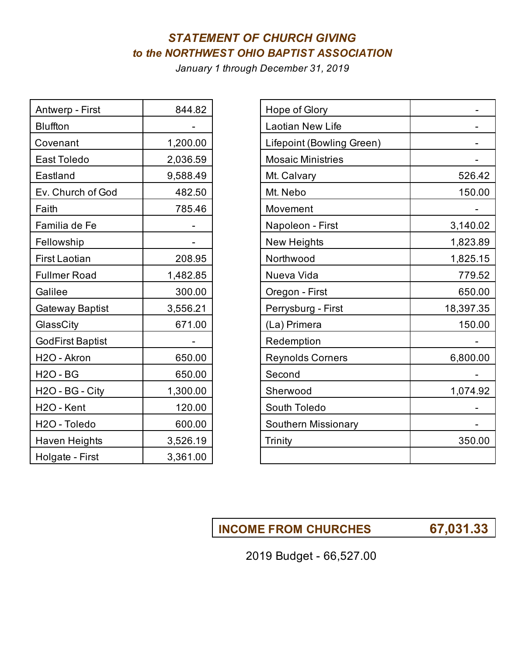### *STATEMENT OF CHURCH GIVING to the NORTHWEST OHIO BAPTIST ASSOCIATION*

*January 1 through December 31, 2019*

| Antwerp - First              | 844.82   |
|------------------------------|----------|
| <b>Bluffton</b>              |          |
| Covenant                     | 1,200.00 |
| East Toledo                  | 2,036.59 |
| Eastland                     | 9,588.49 |
| Ev. Church of God            | 482.50   |
| Faith                        | 785.46   |
| Familia de Fe                |          |
| Fellowship                   |          |
| <b>First Laotian</b>         | 208.95   |
| <b>Fullmer Road</b>          | 1,482.85 |
| Galilee                      | 300.00   |
| Gateway Baptist              | 3,556.21 |
| GlassCity                    | 671.00   |
| <b>GodFirst Baptist</b>      |          |
| H <sub>2</sub> O - Akron     | 650.00   |
| <b>H2O - BG</b>              | 650.00   |
| H <sub>2</sub> O - BG - City | 1,300.00 |
| H <sub>2</sub> O - Kent      | 120.00   |
| H <sub>2</sub> O - Toledo    | 600.00   |
| Haven Heights                | 3,526.19 |
| Holgate - First              | 3,361.00 |

| Antwerp - First                          | 844.82   | Hope of Glory             |           |
|------------------------------------------|----------|---------------------------|-----------|
| <b>Bluffton</b>                          |          | Laotian New Life          |           |
| Covenant                                 | 1,200.00 | Lifepoint (Bowling Green) |           |
| East Toledo                              | 2,036.59 | <b>Mosaic Ministries</b>  |           |
| Eastland                                 | 9,588.49 | Mt. Calvary               | 526.42    |
| Ev. Church of God                        | 482.50   | Mt. Nebo                  | 150.00    |
| Faith                                    | 785.46   | Movement                  |           |
| Familia de Fe                            |          | Napoleon - First          | 3,140.02  |
| Fellowship                               |          | New Heights               | 1,823.89  |
| <b>First Laotian</b>                     | 208.95   | Northwood                 | 1,825.15  |
| <b>Fullmer Road</b>                      | 1,482.85 | Nueva Vida                | 779.52    |
| Galilee                                  | 300.00   | Oregon - First            | 650.00    |
| Gateway Baptist                          | 3,556.21 | Perrysburg - First        | 18,397.35 |
| GlassCity                                | 671.00   | (La) Primera              | 150.00    |
| <b>GodFirst Baptist</b>                  |          | Redemption                |           |
| H2O - Akron                              | 650.00   | <b>Reynolds Corners</b>   | 6,800.00  |
| <b>H2O - BG</b>                          | 650.00   | Second                    |           |
| H <sub>2</sub> O - B <sub>G</sub> - City | 1,300.00 | Sherwood                  | 1,074.92  |
| H <sub>2</sub> O - Kent                  | 120.00   | South Toledo              |           |
| H <sub>2</sub> O - Toledo                | 600.00   | Southern Missionary       |           |
| <b>Haven Heights</b>                     | 3,526.19 | Trinity                   | 350.00    |
| Holgate - First                          | 3,361.00 |                           |           |

**INCOME FROM CHURCHES** 67,031.33

2019 Budget - 66,527.00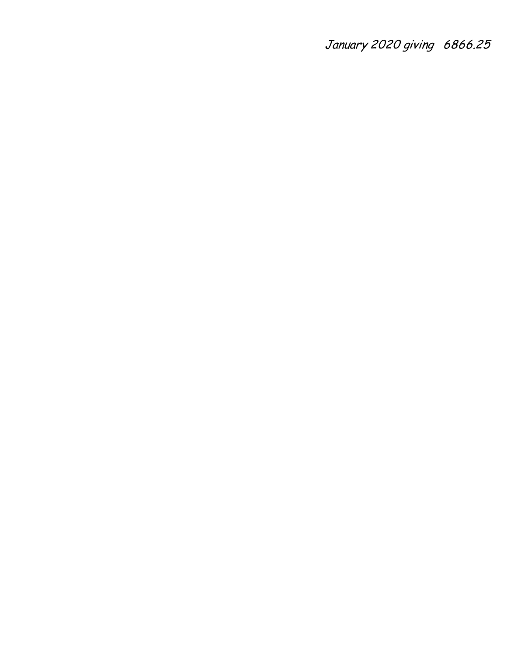January 2020 giving 6866.25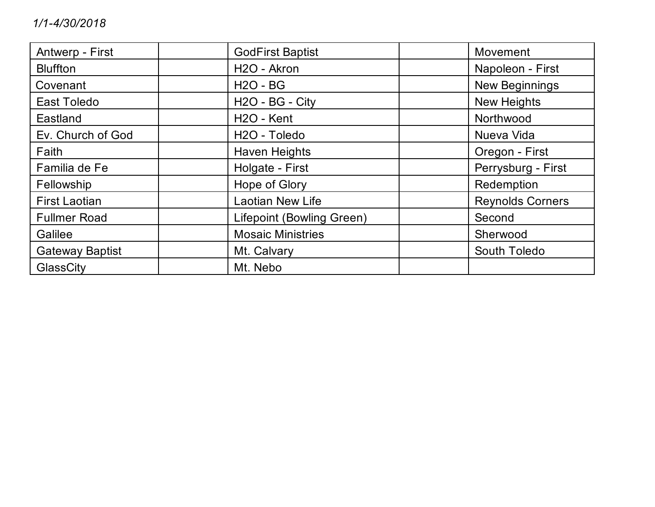| Antwerp - First        | <b>GodFirst Baptist</b>                  | Movement                |
|------------------------|------------------------------------------|-------------------------|
| <b>Bluffton</b>        | H <sub>2</sub> O - Akron                 | Napoleon - First        |
| Covenant               | <b>H2O - BG</b>                          | <b>New Beginnings</b>   |
| East Toledo            | H <sub>2</sub> O - B <sub>G</sub> - City | <b>New Heights</b>      |
| Eastland               | H <sub>2</sub> O - Kent                  | Northwood               |
| Ev. Church of God      | H <sub>2</sub> O - Toledo                | Nueva Vida              |
| Faith                  | <b>Haven Heights</b>                     | Oregon - First          |
| Familia de Fe          | Holgate - First                          | Perrysburg - First      |
| Fellowship             | Hope of Glory                            | Redemption              |
| <b>First Laotian</b>   | <b>Laotian New Life</b>                  | <b>Reynolds Corners</b> |
| <b>Fullmer Road</b>    | Lifepoint (Bowling Green)                | Second                  |
| Galilee                | <b>Mosaic Ministries</b>                 | Sherwood                |
| <b>Gateway Baptist</b> | Mt. Calvary                              | South Toledo            |
| GlassCity              | Mt. Nebo                                 |                         |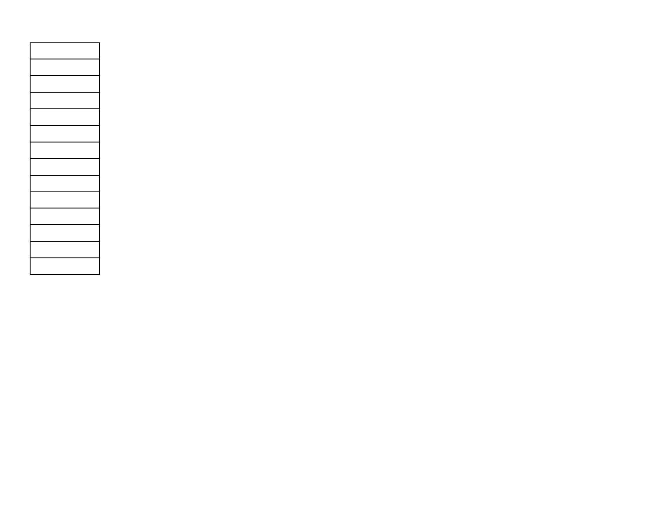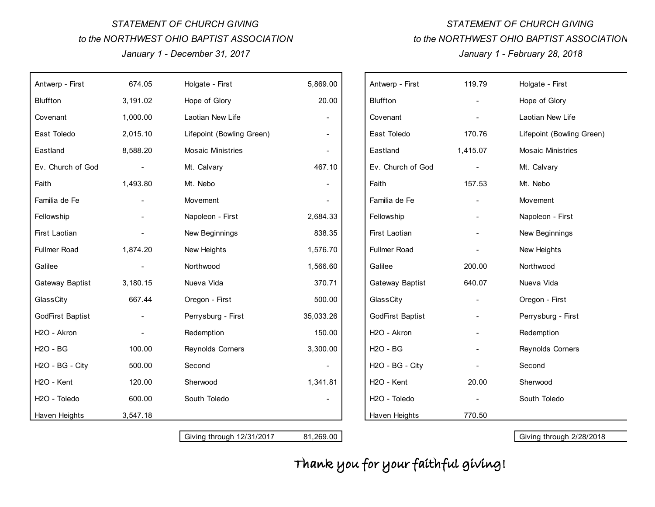# *to the NORTHWEST OHIO BAPTIST ASSOCIATION*

*January 1 - December 31, 2017*

| Antwerp - First                          | 674.05                   | Holgate - First           | 5,869.00                 | Antwerp - First                          | 119.79                   | Holgate - First           |
|------------------------------------------|--------------------------|---------------------------|--------------------------|------------------------------------------|--------------------------|---------------------------|
| Bluffton                                 | 3,191.02                 | Hope of Glory             | 20.00                    | <b>Bluffton</b>                          |                          | Hope of Glory             |
| Covenant                                 | 1,000.00                 | Laotian New Life          | $\overline{\phantom{a}}$ | Covenant                                 | $\blacksquare$           | Laotian New Life          |
| East Toledo                              | 2,015.10                 | Lifepoint (Bowling Green) | $\overline{\phantom{0}}$ | East Toledo                              | 170.76                   | Lifepoint (Bowling Green) |
| Eastland                                 | 8,588.20                 | <b>Mosaic Ministries</b>  |                          | Eastland                                 | 1,415.07                 | <b>Mosaic Ministries</b>  |
| Ev. Church of God                        | $\blacksquare$           | Mt. Calvary               | 467.10                   | Ev. Church of God                        | $\overline{\phantom{a}}$ | Mt. Calvary               |
| Faith                                    | 1,493.80                 | Mt. Nebo                  | Ξ.                       | Faith                                    | 157.53                   | Mt. Nebo                  |
| Familia de Fe                            | $\overline{\phantom{a}}$ | Movement                  | $\overline{\phantom{a}}$ | Familia de Fe                            | $\blacksquare$           | Movement                  |
| Fellowship                               |                          | Napoleon - First          | 2,684.33                 | Fellowship                               | $\blacksquare$           | Napoleon - First          |
| First Laotian                            | $\blacksquare$           | New Beginnings            | 838.35                   | First Laotian                            | $\blacksquare$           | New Beginnings            |
| Fullmer Road                             | 1,874.20                 | New Heights               | 1,576.70                 | Fullmer Road                             |                          | New Heights               |
| Galilee                                  | $\blacksquare$           | Northwood                 | 1,566.60                 | Galilee                                  | 200.00                   | Northwood                 |
| Gateway Baptist                          | 3,180.15                 | Nueva Vida                | 370.71                   | Gateway Baptist                          | 640.07                   | Nueva Vida                |
| GlassCity                                | 667.44                   | Oregon - First            | 500.00                   | GlassCity                                | $\overline{\phantom{a}}$ | Oregon - First            |
| GodFirst Baptist                         |                          | Perrysburg - First        | 35,033.26                | GodFirst Baptist                         |                          | Perrysburg - First        |
| H <sub>2</sub> O - Akron                 |                          | Redemption                | 150.00                   | H <sub>2</sub> O - Akron                 |                          | Redemption                |
| <b>H2O - BG</b>                          | 100.00                   | Reynolds Corners          | 3,300.00                 | <b>H2O - BG</b>                          |                          | Reynolds Corners          |
| H <sub>2</sub> O - B <sub>G</sub> - City | 500.00                   | Second                    | $\blacksquare$           | H <sub>2</sub> O - B <sub>G</sub> - City | $\overline{\phantom{a}}$ | Second                    |
| H <sub>2</sub> O - Kent                  | 120.00                   | Sherwood                  | 1,341.81                 | H <sub>2</sub> O - Kent                  | 20.00                    | Sherwood                  |
| H <sub>2</sub> O - Toledo                | 600.00                   | South Toledo              | $\blacksquare$           | H <sub>2</sub> O - Toledo                | $\blacksquare$           | South Toledo              |
| Haven Heights                            | 3,547.18                 |                           |                          | Haven Heights                            | 770.50                   |                           |

## *STATEMENT OF CHURCH GIVING STATEMENT OF CHURCH GIVING to the NORTHWEST OHIO BAPTIST ASSOCIATION*

*January 1 - February 28, 2018*

| Antwerp - First              | 119.79         | Holgate - First           |
|------------------------------|----------------|---------------------------|
| <b>Bluffton</b>              |                | Hope of Glory             |
| Covenant                     |                | Laotian New Life          |
| East Toledo                  | 170.76         | Lifepoint (Bowling Green) |
| Eastland                     | 1,415.07       | <b>Mosaic Ministries</b>  |
| Ev. Church of God            |                | Mt. Calvary               |
| Faith                        | 157.53         | Mt. Nebo                  |
| Familia de Fe                |                | Movement                  |
| Fellowship                   |                | Napoleon - First          |
| First Laotian                |                | New Beginnings            |
| <b>Fullmer Road</b>          |                | New Heights               |
| Galilee                      | 200.00         | Northwood                 |
| Gateway Baptist              | 640.07         | Nueva Vida                |
| GlassCity                    |                | Oregon - First            |
| <b>GodFirst Baptist</b>      |                | Perrysburg - First        |
| H <sub>2</sub> O - Akron     |                | Redemption                |
| <b>H2O - BG</b>              |                | Reynolds Corners          |
| H <sub>2</sub> O - BG - City |                | Second                    |
| H <sub>2</sub> O - Kent      | 20.00          | Sherwood                  |
| H <sub>2</sub> O - Toledo    | $\blacksquare$ | South Toledo              |
| Haven Heights                | 770.50         |                           |

Giving through 12/31/2017 81,269.00 Giving through 2/28/2018

## Thank you for your faithful giving!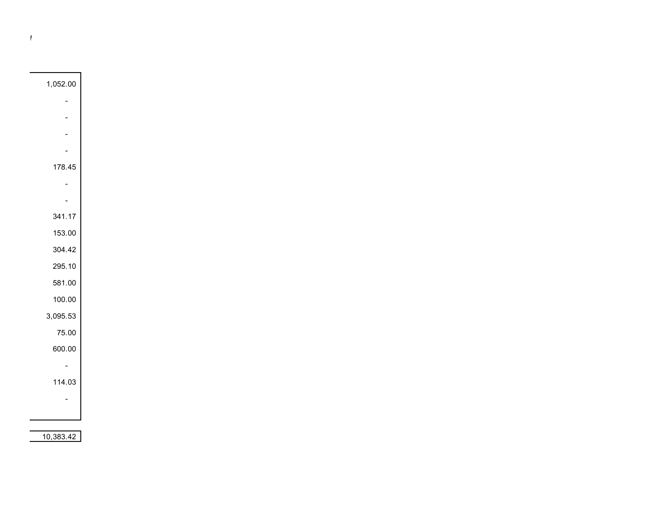10,383.42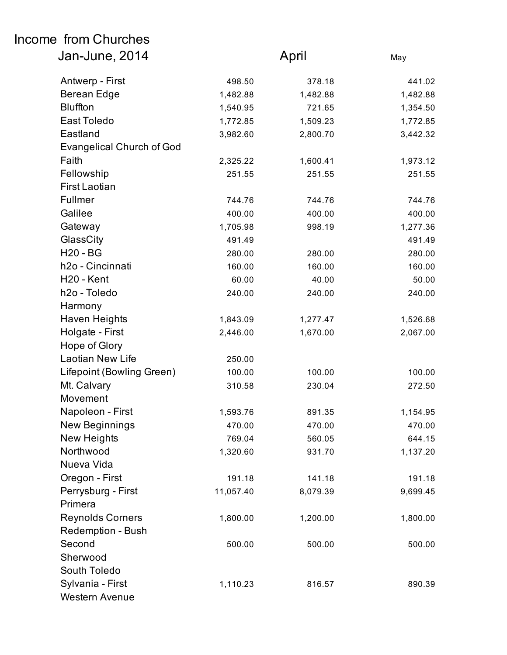| Income from Churches             |           |          |          |
|----------------------------------|-----------|----------|----------|
| Jan-June, 2014                   |           | April    | May      |
| Antwerp - First                  | 498.50    | 378.18   | 441.02   |
| Berean Edge                      | 1,482.88  | 1,482.88 | 1,482.88 |
| <b>Bluffton</b>                  | 1,540.95  | 721.65   | 1,354.50 |
| East Toledo                      | 1,772.85  | 1,509.23 | 1,772.85 |
| Eastland                         | 3,982.60  | 2,800.70 | 3,442.32 |
| <b>Evangelical Church of God</b> |           |          |          |
| Faith                            | 2,325.22  | 1,600.41 | 1,973.12 |
| Fellowship                       | 251.55    | 251.55   | 251.55   |
| <b>First Laotian</b>             |           |          |          |
| <b>Fullmer</b>                   | 744.76    | 744.76   | 744.76   |
| Galilee                          | 400.00    | 400.00   | 400.00   |
| Gateway                          | 1,705.98  | 998.19   | 1,277.36 |
| GlassCity                        | 491.49    |          | 491.49   |
| $H20 - BG$                       | 280.00    | 280.00   | 280.00   |
| h <sub>2o</sub> - Cincinnati     | 160.00    | 160.00   | 160.00   |
| H <sub>20</sub> - Kent           | 60.00     | 40.00    | 50.00    |
| h <sub>2</sub> o - Toledo        | 240.00    | 240.00   | 240.00   |
| Harmony                          |           |          |          |
| <b>Haven Heights</b>             | 1,843.09  | 1,277.47 | 1,526.68 |
| Holgate - First                  | 2,446.00  | 1,670.00 | 2,067.00 |
| Hope of Glory                    |           |          |          |
| Laotian New Life                 | 250.00    |          |          |
| Lifepoint (Bowling Green)        | 100.00    | 100.00   | 100.00   |
| Mt. Calvary                      | 310.58    | 230.04   | 272.50   |
| Movement                         |           |          |          |
| Napoleon - First                 | 1,593.76  | 891.35   | 1,154.95 |
| <b>New Beginnings</b>            | 470.00    | 470.00   | 470.00   |
| New Heights                      | 769.04    | 560.05   | 644.15   |
| Northwood                        | 1,320.60  | 931.70   | 1,137.20 |
| Nueva Vida                       |           |          |          |
| Oregon - First                   | 191.18    | 141.18   | 191.18   |
| Perrysburg - First               | 11,057.40 | 8,079.39 | 9,699.45 |
| Primera                          |           |          |          |
| <b>Reynolds Corners</b>          | 1,800.00  | 1,200.00 | 1,800.00 |
| <b>Redemption - Bush</b>         |           |          |          |
| Second                           | 500.00    | 500.00   | 500.00   |
| Sherwood                         |           |          |          |
| South Toledo                     |           |          |          |
| Sylvania - First                 | 1,110.23  | 816.57   | 890.39   |
| <b>Western Avenue</b>            |           |          |          |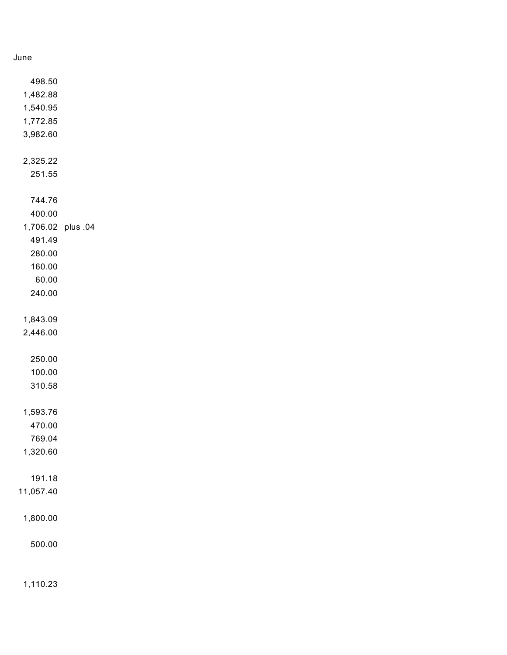June

| 498.50           |  |
|------------------|--|
| 1,482.88         |  |
| 1,540.95         |  |
| 1,772.85         |  |
| 3,982.60         |  |
|                  |  |
| 2,325.22         |  |
| 251.55           |  |
|                  |  |
| 744.76           |  |
| 400.00           |  |
| 1,706.02 plus 04 |  |
| 491.49           |  |
| 280.00           |  |
| 160.00           |  |
| 60.00            |  |
| 240.00           |  |
|                  |  |
| 1,843.09         |  |
| 2,446.00         |  |
|                  |  |
| 250.00           |  |
| 100.00           |  |
| 310.58           |  |
|                  |  |
| 1,593.76         |  |
| 470.00           |  |
| 769.04           |  |
| 1,320.60         |  |
|                  |  |
| 191.18           |  |
| 11,057.40        |  |
|                  |  |
| 1,800.00         |  |
|                  |  |
| 500.00           |  |
|                  |  |
|                  |  |
| 1,110.23         |  |
|                  |  |